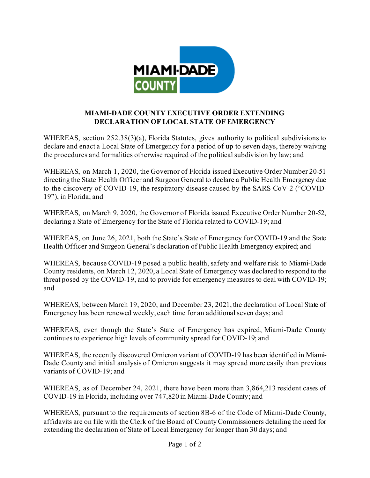

## **MIAMI-DADE COUNTY EXECUTIVE ORDER EXTENDING DECLARATION OF LOCAL STATE OF EMERGENCY**

WHEREAS, section 252.38(3)(a), Florida Statutes, gives authority to political subdivisions to declare and enact a Local State of Emergency for a period of up to seven days, thereby waiving the procedures and formalities otherwise required of the political subdivision by law; and

WHEREAS, on March 1, 2020, the Governor of Florida issued Executive Order Number 20-51 directing the State Health Officer and Surgeon General to declare a Public Health Emergency due to the discovery of COVID-19, the respiratory disease caused by the SARS-CoV-2 ("COVID-19"), in Florida; and

WHEREAS, on March 9, 2020, the Governor of Florida issued Executive Order Number 20-52, declaring a State of Emergency for the State of Florida related to COVID-19; and

WHEREAS, on June 26, 2021, both the State's State of Emergency for COVID-19 and the State Health Officer and Surgeon General's declaration of Public Health Emergency expired; and

WHEREAS, because COVID-19 posed a public health, safety and welfare risk to Miami-Dade County residents, on March 12, 2020, a Local State of Emergency was declared to respond to the threat posed by the COVID-19, and to provide for emergency measures to deal with COVID-19; and

WHEREAS, between March 19, 2020, and December 23, 2021, the declaration of Local State of Emergency has been renewed weekly, each time for an additional seven days; and

WHEREAS, even though the State's State of Emergency has expired, Miami-Dade County continues to experience high levels of community spread for COVID-19; and

WHEREAS, the recently discovered Omicron variant of COVID-19 has been identified in Miami-Dade County and initial analysis of Omicron suggests it may spread more easily than previous variants of COVID-19; and

WHEREAS, as of December 24, 2021, there have been more than 3,864,213 resident cases of COVID-19 in Florida, including over 747,820 in Miami-Dade County; and

WHEREAS, pursuant to the requirements of section 8B-6 of the Code of Miami-Dade County, affidavits are on file with the Clerk of the Board of County Commissioners detailing the need for extending the declaration of State of Local Emergency for longer than 30 days; and